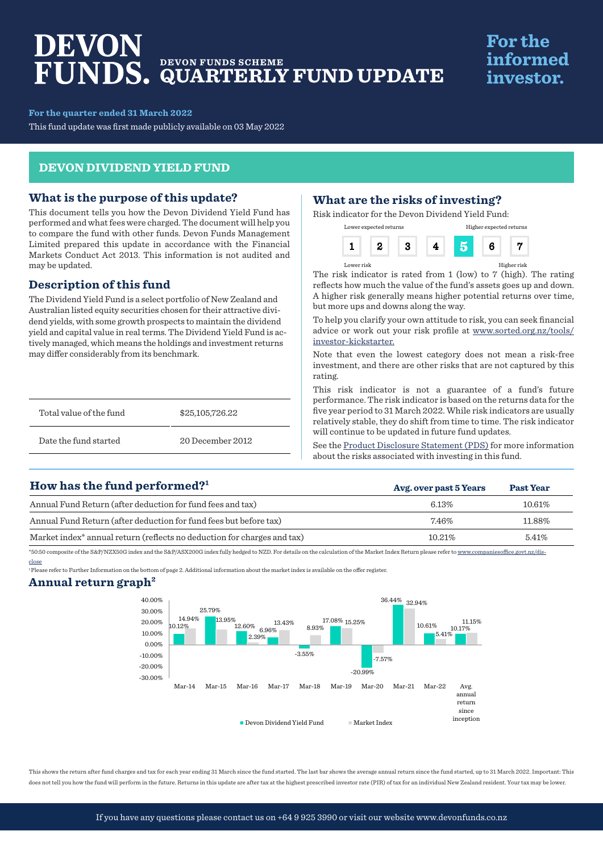# DEVON **DEVON FUNDS SCHEME QUARTERLY FUND UPDATE**

# **For the** informed investor.

**For the quarter ended 31 March 2022**

This fund update was first made publicly available on 03 May 2022

#### **DEVON DIVIDEND YIELD FUND**

#### **What is the purpose of this update?**

This document tells you how the Devon Dividend Yield Fund has performed and what fees were charged. The document will help you to compare the fund with other funds. Devon Funds Management Limited prepared this update in accordance with the Financial Markets Conduct Act 2013. This information is not audited and may be updated.

### **Description of this fund**

The Dividend Yield Fund is a select portfolio of New Zealand and Australian listed equity securities chosen for their attractive dividend yields, with some growth prospects to maintain the dividend yield and capital value in real terms. The Dividend Yield Fund is actively managed, which means the holdings and investment returns may differ considerably from its benchmark.

| Total value of the fund | \$25,105,726.22  |
|-------------------------|------------------|
| Date the fund started   | 20 December 2012 |

### **What are the risks of investing?**

Risk indicator for the Devon Dividend Yield Fund:

| Lower expected returns |  | Higher expected returns |  |
|------------------------|--|-------------------------|--|
|                        |  |                         |  |

Lower risk Higher risk

The risk indicator is rated from 1 (low) to 7 (high). The rating reflects how much the value of the fund's assets goes up and down. A higher risk generally means higher potential returns over time, but more ups and downs along the way.

To help you clarify your own attitude to risk, you can seek financial advice or work out your risk profile at www.sorted.org.nz/tools/ investor-kickstarter.

Note that even the lowest category does not mean a risk-free investment, and there are other risks that are not captured by this rating.

This risk indicator is not a guarantee of a fund's future performance. The risk indicator is based on the returns data for the five year period to 31 March 2022. While risk indicators are usually relatively stable, they do shift from time to time. The risk indicator will continue to be updated in future fund updates.

See the [Product Disclosure Statement \(PDS\)](https://devonfunds.co.nz/sites/default/files/Devon%20Investment%20Funds%20Product%20Disclosure%20Statement.pdf) for more information about the risks associated with investing in this fund.

**Avg. over past 5 Years Past Year**

## **How has the fund performed?1**

| Annual Fund Return (after deduction for fund fees and tax)                          | 6.13%   | 10.61% |
|-------------------------------------------------------------------------------------|---------|--------|
| Annual Fund Return (after deduction for fund fees but before tax)                   | 7.46%   | 11.88% |
| Market index <sup>*</sup> annual return (reflects no deduction for charges and tax) | 10.21\% | 5.41\% |

\*50:50 composite of the S&P/NZX50G index and the S&P/ASX200G index fully hedged to NZD. For details on the calculation of the Market Index Return please refer to www.companiesoffice.govt.nz/disclose

1 Please refer to Further Information on the bottom of page 2. Additional information about the market index is available on the offer register.

#### **Annual return graph2**



This shows the return after fund charges and tax for each year ending 31 March since the fund started. The last bar shows the average annual return since the fund started, up to 31 March 2022. Important: This does not tell you how the fund will perform in the future. Returns in this update are after tax at the highest prescribed investor rate (PIR) of tax for an individual New Zealand resident. Your tax may be lower.